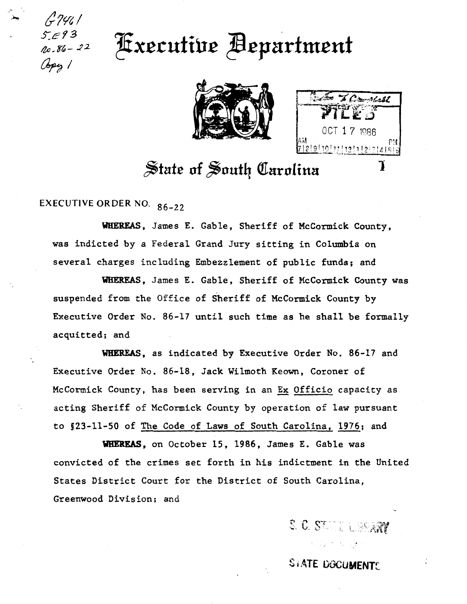## 8,693 Fxecutive Bepartment





## State of South Carolina

**EXECUTIVE ORDER NO. 86-22** 

WHEREAS, James E. Gable, Sheriff of McCormick County, was indicted by a Federal Grand Jury sitting in Columbia on several charges including Embezzlement of public funds; and

WHEREAS, James E. Gable, Sheriff of McCormick County was suspended from the Office of Sheriff of McCormick County by Executive Order No. 86-17 until such time as he shall be formally acquitted; and

WHEREAS, as indicated by Executive Order No. 86-17 and Executive Order No. 86-18, Jack Wilmoth Keown, Coroner of McCormick County, has been serving in an Ex Officio capacity as acting Sheriff of McCormick County by operation of law pursuant to §23-11-50 of The Code of Laws of South Carolina, 1976; and

WHEREAS, on October 15, 1986, James E. Gable was convicted of the crimes set forth in his indictment in the United States District Court for the District of South Carolina, Greenwood Division; and

S. C. STATE LESSARY

コンピーション

**STATE DOCUMENTS**